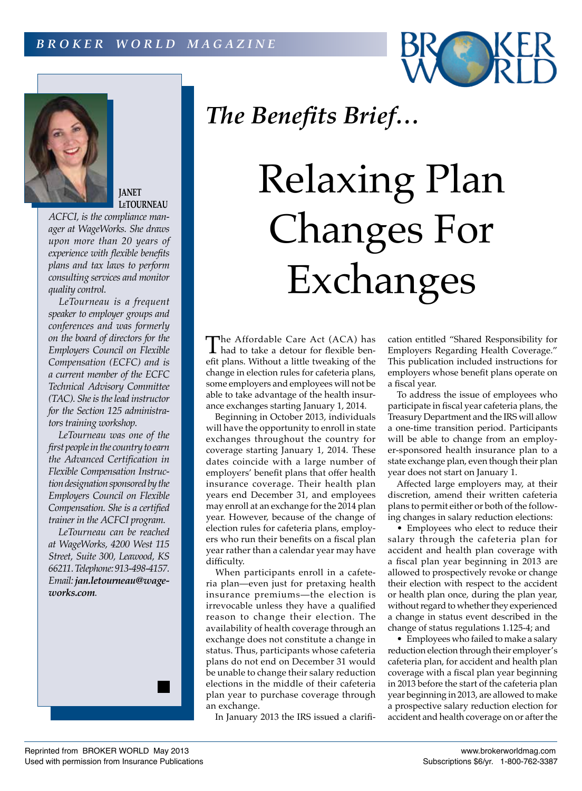



**JANET LeTOURNEAU**

*ACFCI, is the compliance manager at WageWorks. She draws upon more than 20 years of experience with flexible benefits plans and tax laws to perform consulting services and monitor quality control.*

*LeTourneau is a frequent speaker to employer groups and conferences and was formerly on the board of directors for the Employers Council on Flexible Compensation (ECFC) and is a current member of the ECFC Technical Advisory Committee (TAC). She is the lead instructor for the Section 125 administrators training workshop.*

*LeTourneau was one of the first people in the country to earn the Advanced Certification in Flexible Compensation Instruction designation sponsored by the Employers Council on Flexible Compensation. She is a certified trainer in the ACFCI program.*

*LeTourneau can be reached at WageWorks, 4200 West 115 Street, Suite 300, Leawood, KS 66211. Telephone: 913-498-4157. Email: jan.letourneau@wageworks.com.*

## *The Benefits Brief…*

## Relaxing Plan Changes For Exchanges

The Affordable Care Act (ACA) has<br>had to take a detour for flexible ben-<br>of the proof Without a little turnaling of the efit plans. Without a little tweaking of the change in election rules for cafeteria plans, some employers and employees will not be able to take advantage of the health insurance exchanges starting January 1, 2014.

Beginning in October 2013, individuals will have the opportunity to enroll in state exchanges throughout the country for coverage starting January 1, 2014. These dates coincide with a large number of employers' benefit plans that offer health insurance coverage. Their health plan years end December 31, and employees may enroll at an exchange for the 2014 plan year. However, because of the change of election rules for cafeteria plans, employers who run their benefits on a fiscal plan year rather than a calendar year may have difficulty.

When participants enroll in a cafeteria plan—even just for pretaxing health insurance premiums—the election is irrevocable unless they have a qualified reason to change their election. The availability of health coverage through an exchange does not constitute a change in status. Thus, participants whose cafeteria plans do not end on December 31 would be unable to change their salary reduction elections in the middle of their cafeteria plan year to purchase coverage through an exchange.

In January 2013 the IRS issued a clarifi-

cation entitled "Shared Responsibility for Employers Regarding Health Coverage." This publication included instructions for employers whose benefit plans operate on a fiscal year.

To address the issue of employees who participate in fiscal year cafeteria plans, the Treasury Department and the IRS will allow a one-time transition period. Participants will be able to change from an employer-sponsored health insurance plan to a state exchange plan, even though their plan year does not start on January 1.

Affected large employers may, at their discretion, amend their written cafeteria plans to permit either or both of the following changes in salary reduction elections:

• Employees who elect to reduce their salary through the cafeteria plan for accident and health plan coverage with a fiscal plan year beginning in 2013 are allowed to prospectively revoke or change their election with respect to the accident or health plan once, during the plan year, without regard to whether they experienced a change in status event described in the change of status regulations 1.125-4; and

• Employees who failed to make a salary reduction election through their employer's cafeteria plan, for accident and health plan coverage with a fiscal plan year beginning in 2013 before the start of the cafeteria plan year beginning in 2013, are allowed to make a prospective salary reduction election for accident and health coverage on or after the